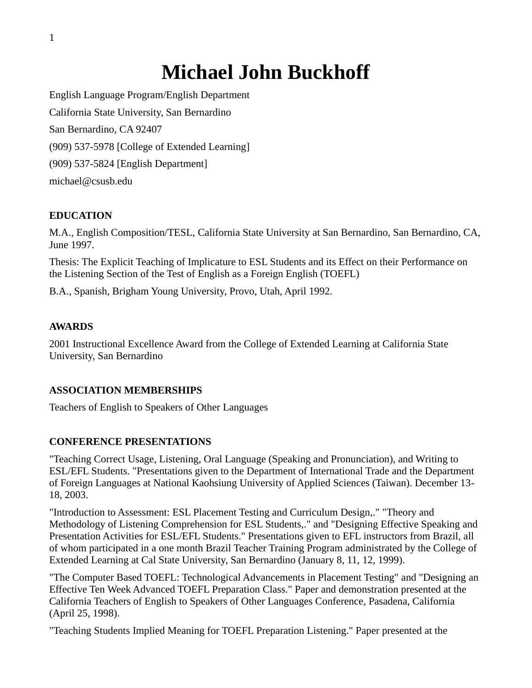# **Michael John Buckhoff**

English Language Program/English Department California State University, San Bernardino San Bernardino, CA 92407 (909) 537-5978 [College of Extended Learning] (909) 537-5824 [English Department] [michael@csusb.edu](mailto:michael@csusb.edu)

# **EDUCATION**

M.A., English Composition/TESL, California State University at San Bernardino, San Bernardino, CA, June 1997.

Thesis: The Explicit Teaching of Implicature to ESL Students and its Effect on their Performance on the Listening Section of the Test of English as a Foreign English (TOEFL)

B.A., Spanish, Brigham Young University, Provo, Utah, April 1992.

# **AWARDS**

2001 Instructional Excellence Award from the College of Extended Learning at California State University, San Bernardino

# **ASSOCIATION MEMBERSHIPS**

Teachers of English to Speakers of Other Languages

# **CONFERENCE PRESENTATIONS**

"Teaching Correct Usage, Listening, Oral Language (Speaking and Pronunciation), and Writing to ESL/EFL Students. "Presentations given to the Department of International Trade and the Department of Foreign Languages at National Kaohsiung University of Applied Sciences (Taiwan). December 13- 18, 2003.

"Introduction to Assessment: ESL Placement Testing and Curriculum Design,." "Theory and Methodology of Listening Comprehension for ESL Students,." and "Designing Effective Speaking and Presentation Activities for ESL/EFL Students." Presentations given to EFL instructors from Brazil, all of whom participated in a one month Brazil Teacher Training Program administrated by the College of Extended Learning at Cal State University, San Bernardino (January 8, 11, 12, 1999).

"The Computer Based TOEFL: Technological Advancements in Placement Testing" and "Designing an Effective Ten Week Advanced TOEFL Preparation Class." Paper and demonstration presented at the California Teachers of English to Speakers of Other Languages Conference, Pasadena, California (April 25, 1998).

"Teaching Students Implied Meaning for TOEFL Preparation Listening." Paper presented at the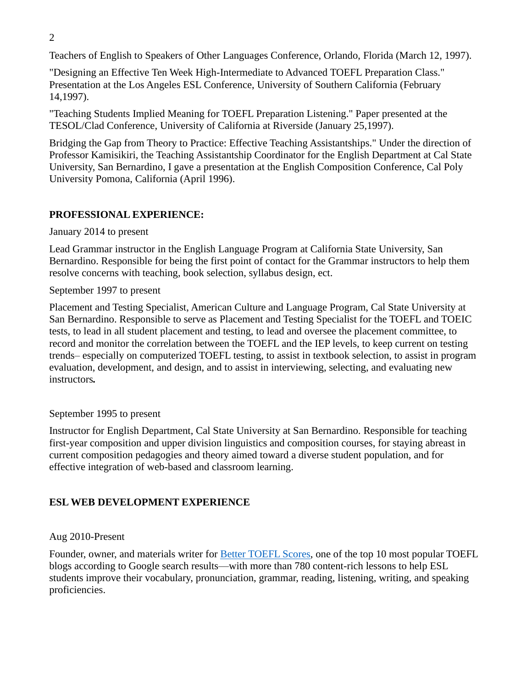2

Teachers of English to Speakers of Other Languages Conference, Orlando, Florida (March 12, 1997).

"Designing an Effective Ten Week High-Intermediate to Advanced TOEFL Preparation Class." Presentation at the Los Angeles ESL Conference, University of Southern California (February 14,1997).

"Teaching Students Implied Meaning for TOEFL Preparation Listening." Paper presented at the TESOL/Clad Conference, University of California at Riverside (January 25,1997).

Bridging the Gap from Theory to Practice: Effective Teaching Assistantships." Under the direction of Professor Kamisikiri, the Teaching Assistantship Coordinator for the English Department at Cal State University, San Bernardino, I gave a presentation at the English Composition Conference, Cal Poly University Pomona, California (April 1996).

## **PROFESSIONAL EXPERIENCE:**

January 2014 to present

Lead Grammar instructor in the English Language Program at California State University, San Bernardino. Responsible for being the first point of contact for the Grammar instructors to help them resolve concerns with teaching, book selection, syllabus design, ect.

#### September 1997 to present

Placement and Testing Specialist, American Culture and Language Program, Cal State University at San Bernardino. Responsible to serve as Placement and Testing Specialist for the TOEFL and TOEIC tests, to lead in all student placement and testing, to lead and oversee the placement committee, to record and monitor the correlation between the TOEFL and the IEP levels, to keep current on testing trends– especially on computerized TOEFL testing, to assist in textbook selection, to assist in program evaluation, development, and design, and to assist in interviewing, selecting, and evaluating new instructors*.*

#### September 1995 to present

Instructor for English Department, Cal State University at San Bernardino. Responsible for teaching first-year composition and upper division linguistics and composition courses, for staying abreast in current composition pedagogies and theory aimed toward a diverse student population, and for effective integration of web-based and classroom learning.

# **ESL WEB DEVELOPMENT EXPERIENCE**

#### Aug 2010-Present

Founder, owner, and materials writer for [Better TOEFL Scores,](http://bettertoeflscores.com/) one of the top 10 most popular TOEFL blogs according to Google search results—with more than 780 content-rich lessons to help ESL students improve their vocabulary, pronunciation, grammar, reading, listening, writing, and speaking proficiencies.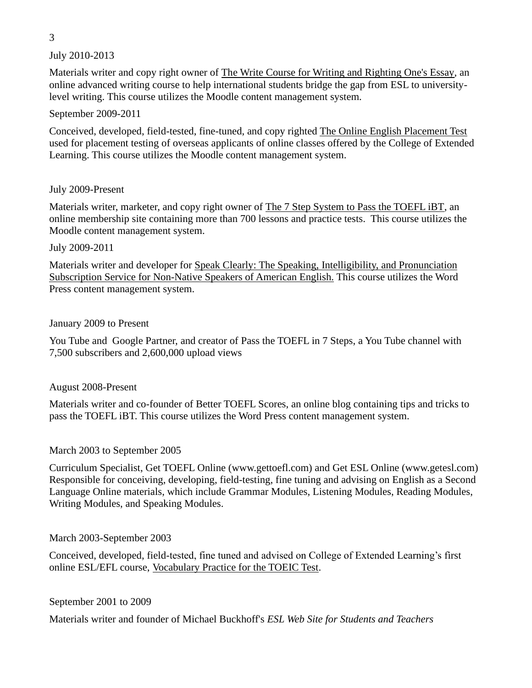3

# July 2010-2013

Materials writer and copy right owner of [The Write Course for Writing and Righting One's Essay,](http://www.csusbcel.com/moodle/course/index.php) an online advanced writing course to help international students bridge the gap from ESL to universitylevel writing. This course utilizes the Moodle content management system.

#### September 2009-2011

Conceived, developed, field-tested, fine-tuned, and copy righted [The Online English Placement Test](http://www.csusbcel.com/moodle/course/index.php) used for placement testing of overseas applicants of online classes offered by the College of Extended Learning. This course utilizes the Moodle content management system.

## July 2009-Present

Materials writer, marketer, and copy right owner of [The 7 Step System to Pass the TOEFL iBT,](http://stealth.bettertoeflscores.com/login/index.php) an online membership site containing more than 700 lessons and practice tests. This course utilizes the Moodle content management system.

#### July 2009-2011

Materials writer and developer for [Speak Clearly: The Speaking, Intelligibility, and Pronunciation](http://www.buckhoff.topcities.com/speak_clearly.htm)  [Subscription Service for Non-Native Speakers of American English.](http://www.buckhoff.topcities.com/speak_clearly.htm) This course utilizes the Word Press content management system.

## January 2009 to Present

You Tube and Google Partner, and creator of [Pass the TOEFL in 7 Steps,](http://www.youtube.com/user/mbuckhoff1965) a You Tube channel with 7,500 subscribers and 2,600,000 upload views

#### August 2008-Present

Materials writer and co-founder of [Better TOEFL Scores,](http://www.bettertoeflscores.com/s-t-e-a-l-t-h-7-step-system-to-pass-the-toefl-ibt/2308/) an online blog containing tips and tricks to pass the TOEFL iBT. This course utilizes the Word Press content management system.

# March 2003 to September 2005

Curriculum Specialist, Get TOEFL Online (www.gettoefl.com) and Get ESL Online (www.getesl.com) Responsible for conceiving, developing, field-testing, fine tuning and advising on English as a Second Language Online materials, which include Grammar Modules, Listening Modules, Reading Modules, Writing Modules, and Speaking Modules.

#### March 2003-September 2003

Conceived, developed, field-tested, fine tuned and advised on College of Extended Learning's first online ESL/EFL course, Vocabulary Practice for the TOEIC Test.

#### September 2001 to 2009

Materials writer and founder of Michael Buckhoff's *ESL Web Site for Students and Teachers*